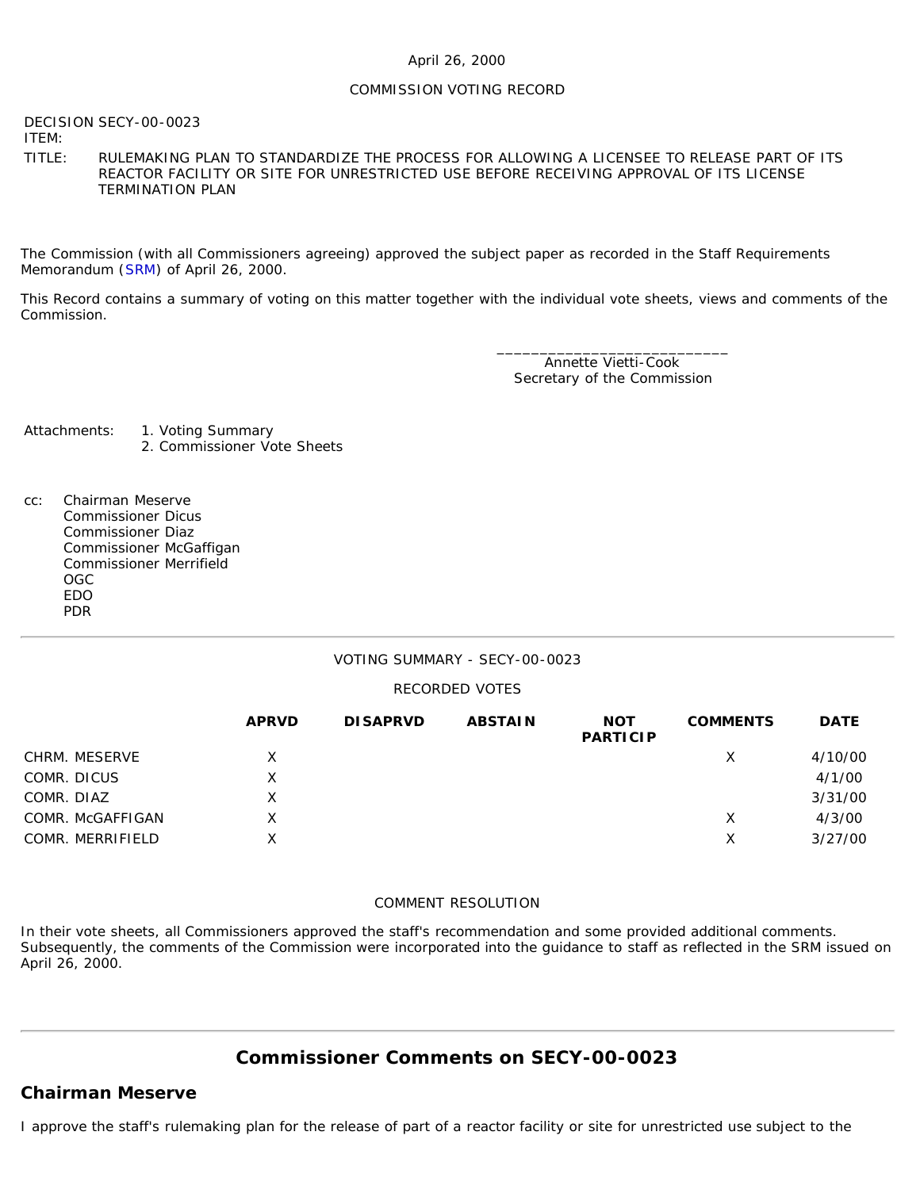### April 26, 2000

### COMMISSION VOTING RECORD

DECISION SECY-00-0023

ITEM:

TITLE: RULEMAKING PLAN TO STANDARDIZE THE PROCESS FOR ALLOWING A LICENSEE TO RELEASE PART OF ITS REACTOR FACILITY OR SITE FOR UNRESTRICTED USE BEFORE RECEIVING APPROVAL OF ITS LICENSE TERMINATION PLAN

The Commission (with all Commissioners agreeing) approved the subject paper as recorded in the Staff Requirements Memorandum ([SRM\)](http://www.nrc.gov/reading-rm/doc-collections/commission/srm/2000/2000-0023srm.html) of April 26, 2000.

This Record contains a summary of voting on this matter together with the individual vote sheets, views and comments of the Commission.

> \_\_\_\_\_\_\_\_\_\_\_\_\_\_\_\_\_\_\_\_\_\_\_\_\_\_\_ Annette Vietti-Cook Secretary of the Commission

- Attachments: 1. Voting Summary
	- 2. Commissioner Vote Sheets
- cc: Chairman Meserve Commissioner Dicus Commissioner Diaz Commissioner McGaffigan Commissioner Merrifield OGC EDO PDR

### VOTING SUMMARY - SECY-00-0023

### RECORDED VOTES

|                  | <b>APRVD</b> | <b>DISAPRVD</b> | <b>ABSTAIN</b> | <b>NOT</b><br><b>PARTICIP</b> | <b>COMMENTS</b> | <b>DATE</b> |
|------------------|--------------|-----------------|----------------|-------------------------------|-----------------|-------------|
| CHRM. MESERVE    | X            |                 |                |                               | Х               | 4/10/00     |
| COMR. DICUS      | Χ            |                 |                |                               |                 | 4/1/00      |
| COMR. DIAZ       | X            |                 |                |                               |                 | 3/31/00     |
| COMR. McGAFFIGAN | x            |                 |                |                               | Х               | 4/3/00      |
| COMR. MERRIFIELD | X            |                 |                |                               | X               | 3/27/00     |

### COMMENT RESOLUTION

In their vote sheets, all Commissioners approved the staff's recommendation and some provided additional comments. Subsequently, the comments of the Commission were incorporated into the guidance to staff as reflected in the SRM issued on April 26, 2000.

# **Commissioner Comments on [SECY-00-0023](http://www.nrc.gov/reading-rm/doc-collections/commission/secys/2000/secy2000-0023/2000-0023scy.html)**

# **Chairman Meserve**

I approve the staff's rulemaking plan for the release of part of a reactor facility or site for unrestricted use subject to the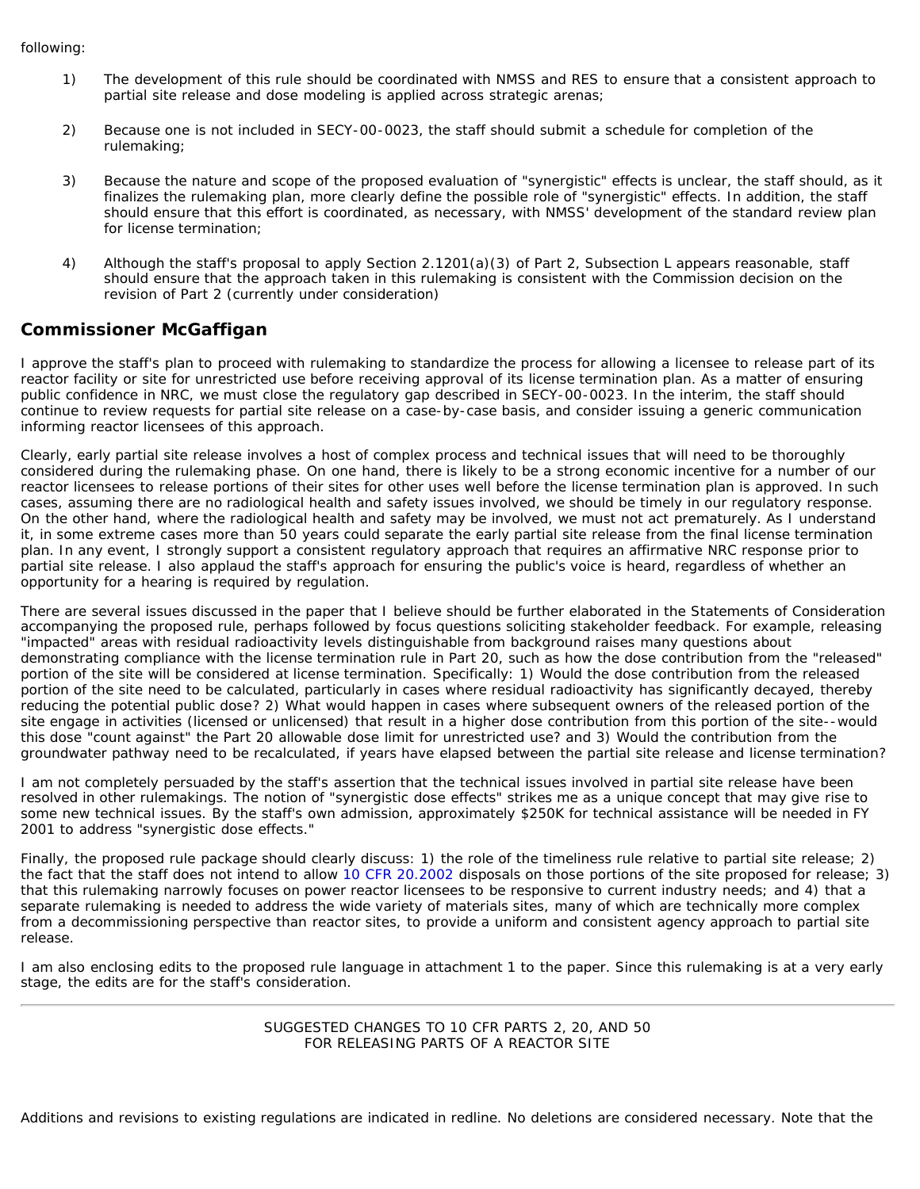- 1) The development of this rule should be coordinated with NMSS and RES to ensure that a consistent approach to partial site release and dose modeling is applied across strategic arenas;
- 2) Because one is not included in SECY-00-0023, the staff should submit a schedule for completion of the rulemaking;
- 3) Because the nature and scope of the proposed evaluation of "synergistic" effects is unclear, the staff should, as it finalizes the rulemaking plan, more clearly define the possible role of "synergistic" effects. In addition, the staff should ensure that this effort is coordinated, as necessary, with NMSS' development of the standard review plan for license termination;
- 4) Although the staff's proposal to apply Section 2.1201(a)(3) of Part 2, Subsection L appears reasonable, staff should ensure that the approach taken in this rulemaking is consistent with the Commission decision on the revision of Part 2 (currently under consideration)

### **Commissioner McGaffigan**

I approve the staff's plan to proceed with rulemaking to standardize the process for allowing a licensee to release part of its reactor facility or site for unrestricted use before receiving approval of its license termination plan. As a matter of ensuring public confidence in NRC, we must close the regulatory gap described in SECY-00-0023. In the interim, the staff should continue to review requests for partial site release on a case-by-case basis, and consider issuing a generic communication informing reactor licensees of this approach.

Clearly, early partial site release involves a host of complex process and technical issues that will need to be thoroughly considered during the rulemaking phase. On one hand, there is likely to be a strong economic incentive for a number of our reactor licensees to release portions of their sites for other uses well before the license termination plan is approved. In such cases, assuming there are no radiological health and safety issues involved, we should be timely in our regulatory response. On the other hand, where the radiological health and safety may be involved, we must not act prematurely. As I understand it, in some extreme cases more than 50 years could separate the early partial site release from the final license termination plan. In any event, I strongly support a consistent regulatory approach that requires an affirmative NRC response prior to partial site release. I also applaud the staff's approach for ensuring the public's voice is heard, regardless of whether an opportunity for a hearing is required by regulation.

There are several issues discussed in the paper that I believe should be further elaborated in the Statements of Consideration accompanying the proposed rule, perhaps followed by focus questions soliciting stakeholder feedback. For example, releasing "impacted" areas with residual radioactivity levels distinguishable from background raises many questions about demonstrating compliance with the license termination rule in Part 20, such as how the dose contribution from the "released" portion of the site will be considered at license termination. Specifically: 1) Would the dose contribution from the released portion of the site need to be calculated, particularly in cases where residual radioactivity has significantly decayed, thereby reducing the potential public dose? 2) What would happen in cases where subsequent owners of the released portion of the site engage in activities (licensed or unlicensed) that result in a higher dose contribution from this portion of the site--would this dose "count against" the Part 20 allowable dose limit for unrestricted use? and 3) Would the contribution from the groundwater pathway need to be recalculated, if years have elapsed between the partial site release and license termination?

I am not completely persuaded by the staff's assertion that the technical issues involved in partial site release have been resolved in other rulemakings. The notion of "synergistic dose effects" strikes me as a unique concept that may give rise to some new technical issues. By the staff's own admission, approximately \$250K for technical assistance will be needed in FY 2001 to address "synergistic dose effects."

Finally, the proposed rule package should clearly discuss: 1) the role of the timeliness rule relative to partial site release; 2) the fact that the staff does not intend to allow [10 CFR 20.2002](http://www.nrc.gov/reading-rm/doc-collections/cfr/part020/part020-2002.html) disposals on those portions of the site proposed for release; 3) that this rulemaking narrowly focuses on power reactor licensees to be responsive to current industry needs; and 4) that a separate rulemaking is needed to address the wide variety of materials sites, many of which are technically more complex from a decommissioning perspective than reactor sites, to provide a uniform and consistent agency approach to partial site release.

I am also enclosing edits to the proposed rule language in attachment 1 to the paper. Since this rulemaking is at a very early stage, the edits are for the staff's consideration.

> SUGGESTED CHANGES TO 10 CFR PARTS 2, 20, AND 50 FOR RELEASING PARTS OF A REACTOR SITE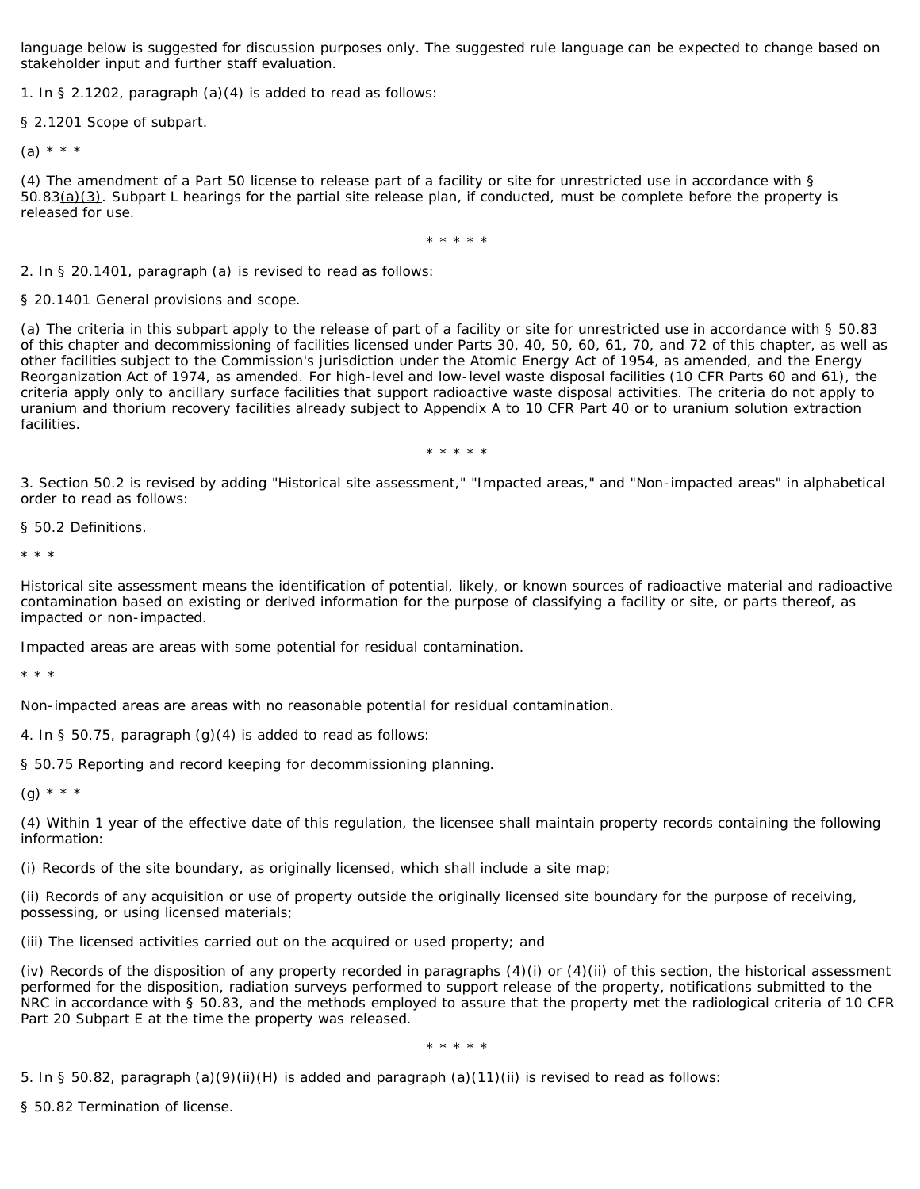language below is suggested for discussion purposes only. The suggested rule language can be expected to change based on stakeholder input and further staff evaluation.

1. In § 2.1202, paragraph (a)(4) is added to read as follows:

§ 2.1201 Scope of subpart.

 $(a) * * * *$ 

(4) The amendment of a Part 50 license to release part of a facility or site for unrestricted use in accordance with § 50.83(a)(3). Subpart L hearings for the partial site release plan, if conducted, must be complete before the property is released for use.

\* \* \* \* \*

2. In § 20.1401, paragraph (a) is revised to read as follows:

§ 20.1401 General provisions and scope.

(a) The criteria in this subpart apply to the release of part of a facility or site for unrestricted use in accordance with § 50.83 of this chapter and decommissioning of facilities licensed under Parts 30, 40, 50, 60, 61, 70, and 72 of this chapter, as well as other facilities subject to the Commission's jurisdiction under the Atomic Energy Act of 1954, as amended, and the Energy Reorganization Act of 1974, as amended. For high-level and low-level waste disposal facilities (10 CFR Parts 60 and 61), the criteria apply only to ancillary surface facilities that support radioactive waste disposal activities. The criteria do not apply to uranium and thorium recovery facilities already subject to Appendix A to 10 CFR Part 40 or to uranium solution extraction facilities.

\* \* \* \* \*

3. Section 50.2 is revised by adding "Historical site assessment," "Impacted areas," and "Non-impacted areas" in alphabetical order to read as follows:

§ 50.2 Definitions.

\* \* \*

*Historical site assessment* means the identification of potential, likely, or known sources of radioactive material and radioactive contamination based on existing or derived information for the purpose of classifying a facility or site, or parts thereof, as impacted or non-impacted.

*Impacted areas* are areas with some potential for residual contamination.

\* \* \*

*Non-impacted areas* are areas with no reasonable potential for residual contamination.

4. In § 50.75, paragraph (g)(4) is added to read as follows:

§ 50.75 Reporting and record keeping for decommissioning planning.

 $(q) * * * *$ 

(4) Within 1 year of the effective date of this regulation, the licensee shall maintain property records containing the following information:

(i) Records of the site boundary, as originally licensed, which shall include a site map;

(ii) Records of any acquisition or use of property outside the originally licensed site boundary for the purpose of receiving, possessing, or using licensed materials;

(iii) The licensed activities carried out on the acquired or used property; and

(iv) Records of the disposition of any property recorded in paragraphs (4)(i) or (4)(ii) of this section, the historical assessment performed for the disposition, radiation surveys performed to support release of the property, notifications submitted to the NRC in accordance with § 50.83, and the methods employed to assure that the property met the radiological criteria of 10 CFR Part 20 Subpart E at the time the property was released.

\* \* \* \* \*

5. In § 50.82, paragraph (a)(9)(ii)(H) is added and paragraph (a)(11)(ii) is revised to read as follows:

§ 50.82 Termination of license.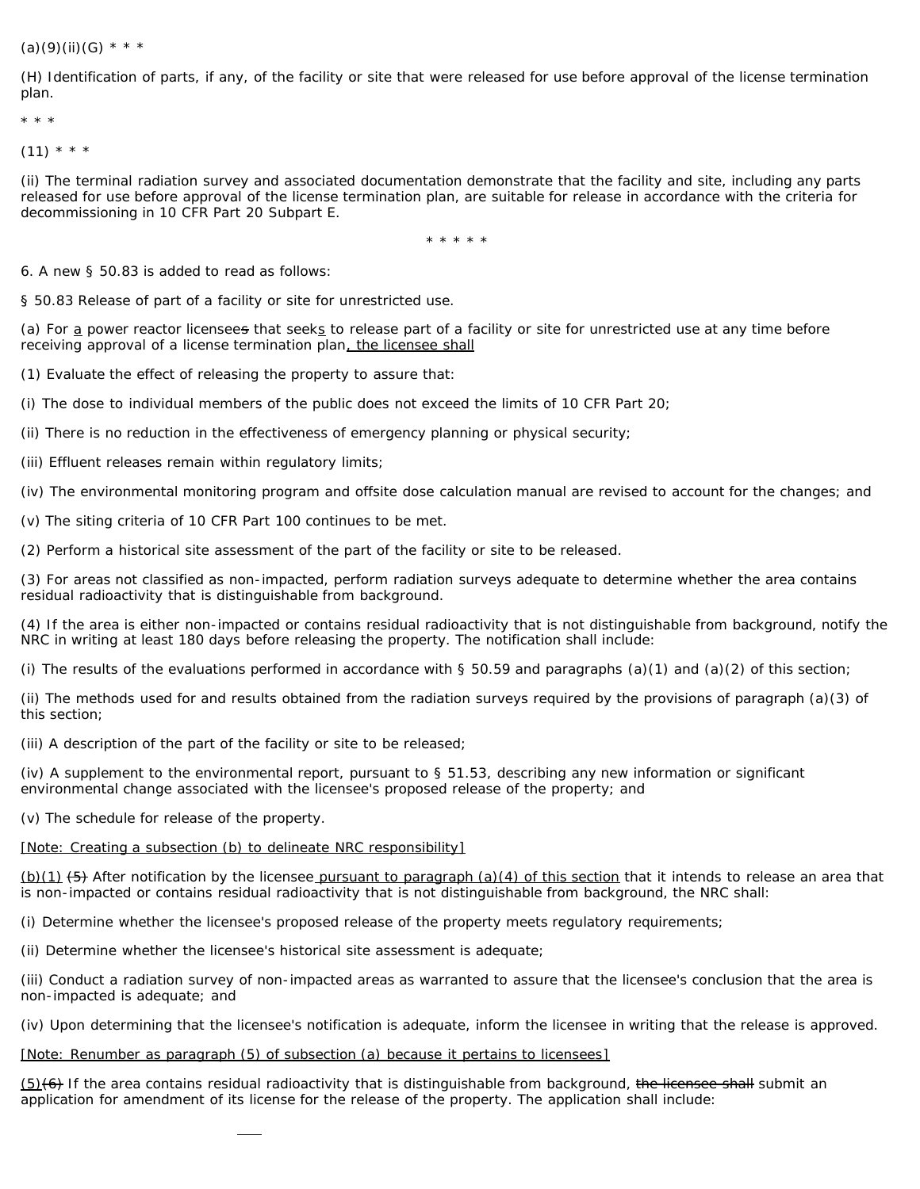### $(a)(9)(ii)(G)$  \* \* \*

(H) Identification of parts, if any, of the facility or site that were released for use before approval of the license termination plan.

\* \* \*

 $(11) * * * *$ 

(ii) The terminal radiation survey and associated documentation demonstrate that the facility and site, including any parts released for use before approval of the license termination plan, are suitable for release in accordance with the criteria for decommissioning in 10 CFR Part 20 Subpart E.

\* \* \* \* \*

6. A new § 50.83 is added to read as follows:

§ 50.83 Release of part of a facility or site for unrestricted use.

(a) For a power reactor licensees that seeks to release part of a facility or site for unrestricted use at any time before receiving approval of a license termination plan, the licensee shall

(1) Evaluate the effect of releasing the property to assure that:

(i) The dose to individual members of the public does not exceed the limits of 10 CFR Part 20;

(ii) There is no reduction in the effectiveness of emergency planning or physical security;

(iii) Effluent releases remain within regulatory limits;

(iv) The environmental monitoring program and offsite dose calculation manual are revised to account for the changes; and

(v) The siting criteria of 10 CFR Part 100 continues to be met.

(2) Perform a historical site assessment of the part of the facility or site to be released.

(3) For areas not classified as non-impacted, perform radiation surveys adequate to determine whether the area contains residual radioactivity that is distinguishable from background.

(4) If the area is either non-impacted or contains residual radioactivity that is not distinguishable from background, notify the NRC in writing at least 180 days before releasing the property. The notification shall include:

(i) The results of the evaluations performed in accordance with  $\S 50.59$  and paragraphs (a)(1) and (a)(2) of this section;

(ii) The methods used for and results obtained from the radiation surveys required by the provisions of paragraph (a)(3) of this section;

(iii) A description of the part of the facility or site to be released;

(iv) A supplement to the environmental report, pursuant to § 51.53, describing any new information or significant environmental change associated with the licensee's proposed release of the property; and

(v) The schedule for release of the property.

### [Note: *Creating a subsection (b) to delineate NRC responsibility*]

(b)(1) (5) After notification by the licensee pursuant to paragraph (a)(4) of this section that it intends to release an area that is non-impacted or contains residual radioactivity that is not distinguishable from background, the NRC shall:

(i) Determine whether the licensee's proposed release of the property meets regulatory requirements;

(ii) Determine whether the licensee's historical site assessment is adequate;

(iii) Conduct a radiation survey of non-impacted areas as warranted to assure that the licensee's conclusion that the area is non-impacted is adequate; and

(iv) Upon determining that the licensee's notification is adequate, inform the licensee in writing that the release is approved.

### [Note: *Renumber as paragraph (5) of subsection (a) because it pertains to licensees*]

(5)(6) If the area contains residual radioactivity that is distinguishable from background, the licensee shall submit an application for amendment of its license for the release of the property. The application shall include: